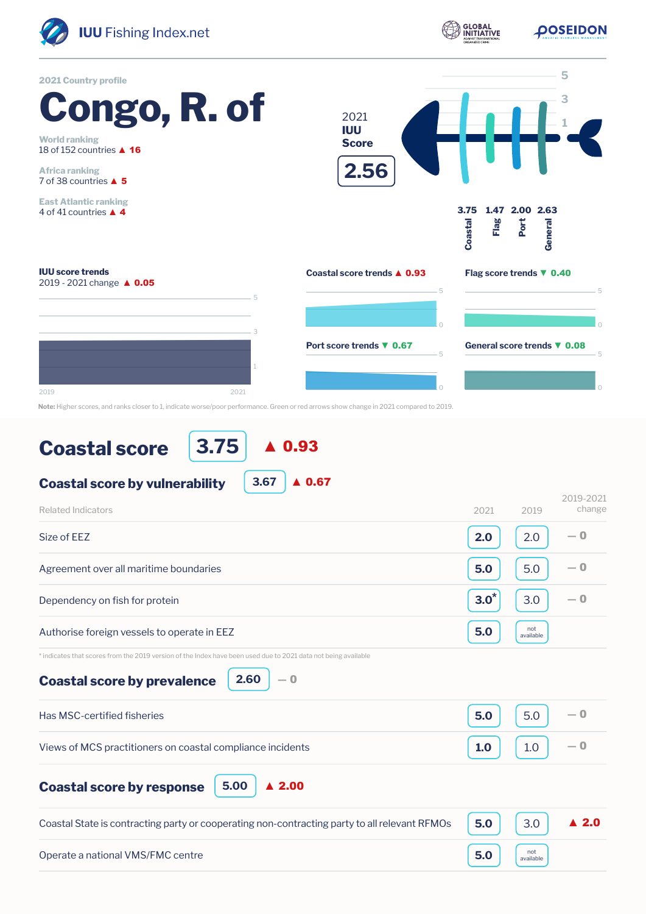

**POSEIDON** 

**GLOBAL**<br>INITIATIVE



**Note:** Higher scores, and ranks closer to 1, indicate worse/poor performance. Green or red arrows show change in 2021 compared to 2019.

## **Coastal score**

**3.75** ▲ 0.93

| 3.67<br>0.67<br><b>Coastal score by vulnerability</b>                                                          |         |                  |                      |
|----------------------------------------------------------------------------------------------------------------|---------|------------------|----------------------|
| Related Indicators                                                                                             | 2021    | 2019             | 2019-2021<br>change  |
| Size of EEZ                                                                                                    | 2.0     | 2.0              | $-0$                 |
| Agreement over all maritime boundaries                                                                         | 5.0     | 5.0              | $-0$                 |
| Dependency on fish for protein                                                                                 | $3.0^*$ | 3.0              | $-0$                 |
| Authorise foreign vessels to operate in EEZ                                                                    | 5.0     | not<br>available |                      |
| * indicates that scores from the 2019 version of the Index have been used due to 2021 data not being available |         |                  |                      |
| 2.60<br>$-0$<br><b>Coastal score by prevalence</b>                                                             |         |                  |                      |
| Has MSC-certified fisheries                                                                                    | 5.0     | 5.0              | — 0                  |
| Views of MCS practitioners on coastal compliance incidents                                                     | 1.0     | 1.0              | $-0$                 |
| 5.00<br>$\blacktriangle$ 2.00<br><b>Coastal score by response</b>                                              |         |                  |                      |
| Coastal State is contracting party or cooperating non-contracting party to all relevant RFMOs                  | 5.0     | 3.0              | $\blacktriangle$ 2.0 |
| Operate a national VMS/FMC centre                                                                              | 5.0     | not<br>available |                      |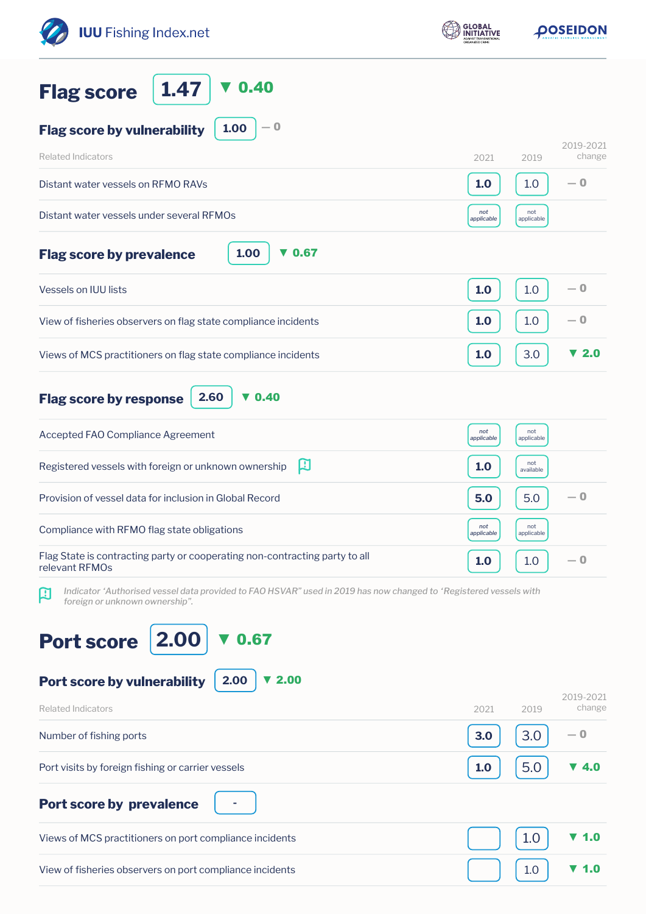| <b>IUU</b> Fishing Index.net                                                                                                                                    | <b>GLOBAL</b><br>NITIATIVE |                   | <b>OOSEIDON</b>          |  |
|-----------------------------------------------------------------------------------------------------------------------------------------------------------------|----------------------------|-------------------|--------------------------|--|
| 0.40<br>1.47<br><b>Flag score</b>                                                                                                                               |                            |                   |                          |  |
| $-0$<br>1.00<br><b>Flag score by vulnerability</b>                                                                                                              |                            |                   |                          |  |
| <b>Related Indicators</b>                                                                                                                                       | 2021                       | 2019              | 2019-2021<br>change      |  |
| Distant water vessels on RFMO RAVs                                                                                                                              | 1.0                        | 1.0               | — 0                      |  |
| Distant water vessels under several RFMOs                                                                                                                       | not<br>applicable          | not<br>applicable |                          |  |
| 1.00<br>$\blacktriangledown$ 0.67<br><b>Flag score by prevalence</b>                                                                                            |                            |                   |                          |  |
| <b>Vessels on IUU lists</b>                                                                                                                                     | 1.0                        | 1.0               | — 0                      |  |
| View of fisheries observers on flag state compliance incidents                                                                                                  | 1.0                        | 1.0               | $-0$                     |  |
| Views of MCS practitioners on flag state compliance incidents                                                                                                   | 1.0                        | 3.0               | $\blacktriangledown$ 2.0 |  |
| $\blacktriangledown$ 0.40<br>2.60<br><b>Flag score by response</b>                                                                                              |                            |                   |                          |  |
| Accepted FAO Compliance Agreement                                                                                                                               | not<br>applicable          | not<br>applicable |                          |  |
| 口<br>Registered vessels with foreign or unknown ownership                                                                                                       | 1.0                        | not<br>available  |                          |  |
| Provision of vessel data for inclusion in Global Record                                                                                                         | 5.0                        | 5.0               | — 0                      |  |
| Compliance with RFMO flag state obligations                                                                                                                     | not<br>applicable          | not<br>applicable |                          |  |
| Flag State is contracting party or cooperating non-contracting party to all<br>relevant RFMOs                                                                   | 1.0                        | 1.0               | — 0                      |  |
| Indicator 'Authorised vessel data provided to FAO HSVAR" used in 2019 has now changed to 'Registered vessels with<br>$\bf{R}$<br>foreign or unknown ownership". |                            |                   |                          |  |
| 2.00<br>0.67<br><b>Port score</b>                                                                                                                               |                            |                   |                          |  |
| 2.00<br>Port score by vulnerability<br>2.00                                                                                                                     |                            |                   | 2019-2021                |  |
| <b>Related Indicators</b><br>Number of fishing ports                                                                                                            | 2021<br>3.0                | 2019<br>3.0       | change<br>— 0            |  |
|                                                                                                                                                                 |                            |                   |                          |  |
| Port visits by foreign fishing or carrier vessels                                                                                                               | 1.0                        | 5.0               | 4.0                      |  |
| <b>Port score by prevalence</b>                                                                                                                                 |                            |                   |                          |  |
| Views of MCS practitioners on port compliance incidents                                                                                                         |                            | 1.0               | 1.0                      |  |
| View of fisheries observers on port compliance incidents                                                                                                        |                            | 1.0               | 1.0                      |  |